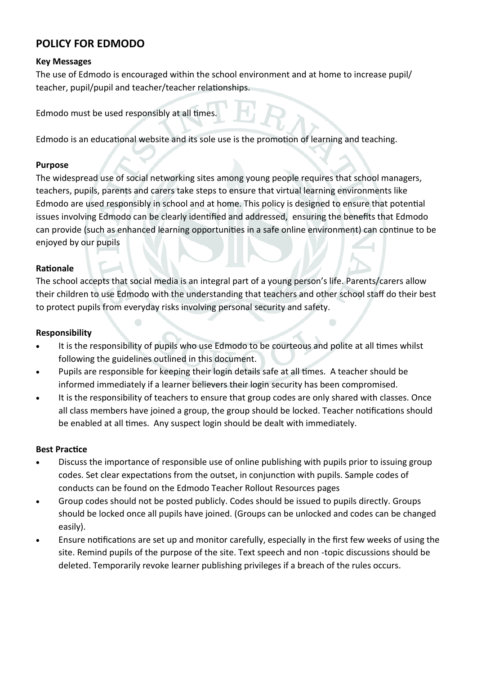# **POLICY FOR EDMODO**

## **Key Messages**

The use of Edmodo is encouraged within the school environment and at home to increase pupil/ teacher, pupil/pupil and teacher/teacher relationships.

Edmodo must be used responsibly at all times.

Edmodo is an educational website and its sole use is the promotion of learning and teaching.

#### **Purpose**

The widespread use of social networking sites among young people requires that school managers, teachers, pupils, parents and carers take steps to ensure that virtual learning environments like Edmodo are used responsibly in school and at home. This policy is designed to ensure that potential issues involving Edmodo can be clearly identified and addressed, ensuring the benefits that Edmodo can provide (such as enhanced learning opportunities in a safe online environment) can continue to be enjoyed by our pupils

#### **Rationale**

The school accepts that social media is an integral part of a young person's life. Parents/carers allow their children to use Edmodo with the understanding that teachers and other school staff do their best to protect pupils from everyday risks involving personal security and safety.

## **Responsibility**

- It is the responsibility of pupils who use Edmodo to be courteous and polite at all times whilst following the guidelines outlined in this document.
- Pupils are responsible for keeping their login details safe at all times. A teacher should be informed immediately if a learner believers their login security has been compromised.
- It is the responsibility of teachers to ensure that group codes are only shared with classes. Once all class members have joined a group, the group should be locked. Teacher notifications should be enabled at all times. Any suspect login should be dealt with immediately.

# **Best Practice**

- Discuss the importance of responsible use of online publishing with pupils prior to issuing group codes. Set clear expectations from the outset, in conjunction with pupils. Sample codes of conducts can be found on the Edmodo Teacher Rollout Resources pages
- Group codes should not be posted publicly. Codes should be issued to pupils directly. Groups should be locked once all pupils have joined. (Groups can be unlocked and codes can be changed easily).
- Ensure notifications are set up and monitor carefully, especially in the first few weeks of using the site. Remind pupils of the purpose of the site. Text speech and non -topic discussions should be deleted. Temporarily revoke learner publishing privileges if a breach of the rules occurs.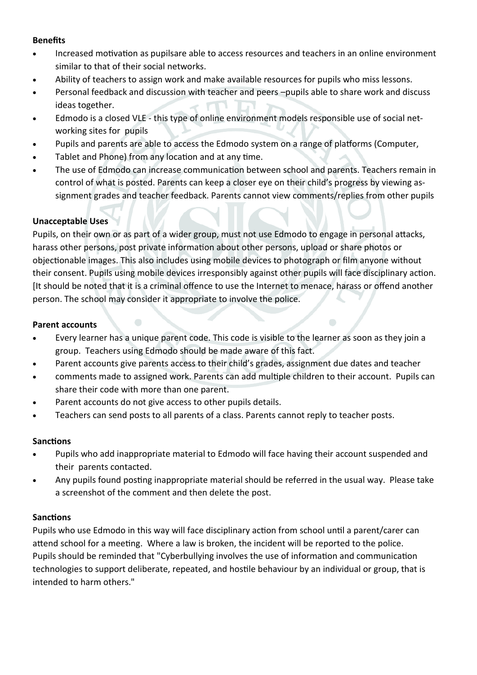# **Benefits**

- Increased motivation as pupilsare able to access resources and teachers in an online environment similar to that of their social networks.
- Ability of teachers to assign work and make available resources for pupils who miss lessons.
- Personal feedback and discussion with teacher and peers –pupils able to share work and discuss ideas together.
- Edmodo is a closed VLE this type of online environment models responsible use of social networking sites for pupils
- Pupils and parents are able to access the Edmodo system on a range of platforms (Computer,
- Tablet and Phone) from any location and at any time.
- The use of Edmodo can increase communication between school and parents. Teachers remain in control of what is posted. Parents can keep a closer eye on their child's progress by viewing assignment grades and teacher feedback. Parents cannot view comments/replies from other pupils

# **Unacceptable Uses**

Pupils, on their own or as part of a wider group, must not use Edmodo to engage in personal attacks, harass other persons, post private information about other persons, upload or share photos or objectionable images. This also includes using mobile devices to photograph or film anyone without their consent. Pupils using mobile devices irresponsibly against other pupils will face disciplinary action. [It should be noted that it is a criminal offence to use the Internet to menace, harass or offend another person. The school may consider it appropriate to involve the police.

### **Parent accounts**

- Every learner has a unique parent code. This code is visible to the learner as soon as they join a group. Teachers using Edmodo should be made aware of this fact.
- Parent accounts give parents access to their child's grades, assignment due dates and teacher
- comments made to assigned work. Parents can add multiple children to their account. Pupils can share their code with more than one parent.
- Parent accounts do not give access to other pupils details.
- Teachers can send posts to all parents of a class. Parents cannot reply to teacher posts.

# **Sanctions**

- Pupils who add inappropriate material to Edmodo will face having their account suspended and their parents contacted.
- Any pupils found posting inappropriate material should be referred in the usual way. Please take a screenshot of the comment and then delete the post.

# **Sanctions**

Pupils who use Edmodo in this way will face disciplinary action from school until a parent/carer can attend school for a meeting. Where a law is broken, the incident will be reported to the police. Pupils should be reminded that "Cyberbullying involves the use of information and communication technologies to support deliberate, repeated, and hostile behaviour by an individual or group, that is intended to harm others."